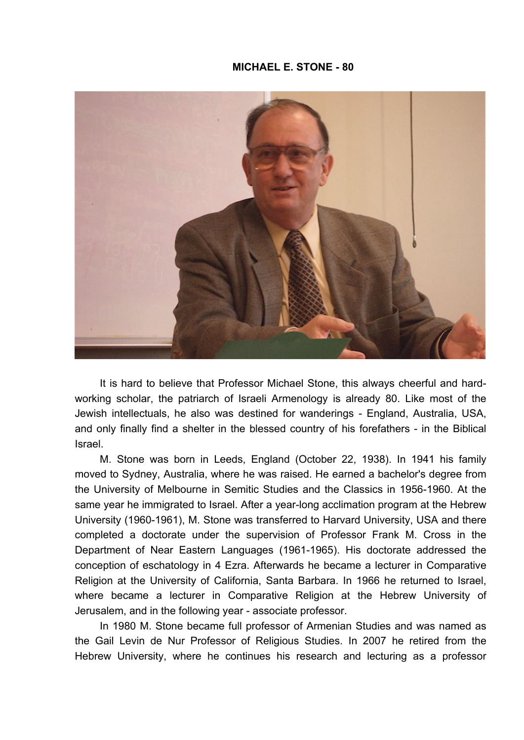## **MICHAEL E. STONE - 80**



It is hard to believe that Professor Michael Stone, this always cheerful and hardworking scholar, the patriarch of Israeli Armenology is already 80. Like most of the Jewish intellectuals, he also was destined for wanderings - England, Australia, USA, and only finally find a shelter in the blessed country of his forefathers - in the Biblical Israel.

M. Stone was born in Leeds, England (October 22, 1938). In 1941 his family moved to Sydney, Australia, where he was raised. He earned a bachelor's degree from the University of Melbourne in Semitic Studies and the Classics in 1956-1960. At the same year he immigrated to Israel. After a year-long acclimation program at the Hebrew University (1960-1961), M. Stone was transferred to Harvard University, USA and there completed a doctorate under the supervision of Professor Frank M. Cross in the Department of Near Eastern Languages (1961-1965). His doctorate addressed the conception of eschatology in 4 Ezra. Afterwards he became a lecturer in Comparative Religion at the University of California, Santa Barbara. In 1966 he returned to Israel, where became a lecturer in Comparative Religion at the Hebrew University of Jerusalem, and in the following year - associate professor.

In 1980 M. Stone became full professor of Armenian Studies and was named as the Gail Levin de Nur Professor of Religious Studies. In 2007 he retired from the Hebrew University, where he continues his research and lecturing as a professor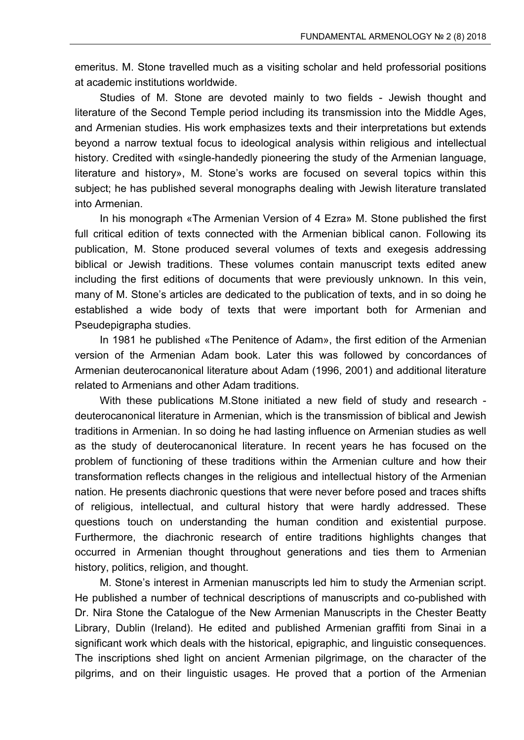emeritus. M. Stone travelled much as a visiting scholar and held professorial positions at academic institutions worldwide.

Studies of M. Stone are devoted mainly to two fields - Jewish thought and literature of the Second Temple period including its transmission into the Middle Ages, and Armenian studies. His work emphasizes texts and their interpretations but extends beyond a narrow textual focus to ideological analysis within religious and intellectual history. Credited with «single-handedly pioneering the study of the Armenian language, literature and history», M. Stone's works are focused on several topics within this subject; he has published several monographs dealing with Jewish literature translated into Armenian.

In his monograph «The Armenian Version of 4 Ezra» M. Stone published the first full critical edition of texts connected with the Armenian biblical canon. Following its publication, M. Stone produced several volumes of texts and exegesis addressing biblical or Jewish traditions. These volumes contain manuscript texts edited anew including the first editions of documents that were previously unknown. In this vein, many of M. Stone's articles are dedicated to the publication of texts, and in so doing he established a wide body of texts that were important both for Armenian and Pseudepigrapha studies.

In 1981 he published «The Penitence of Adam», the first edition of the Armenian version of the Armenian Adam book. Later this was followed by concordances of Armenian deuterocanonical literature about Adam (1996, 2001) and additional literature related to Armenians and other Adam traditions.

With these publications M.Stone initiated a new field of study and research deuterocanonical literature in Armenian, which is the transmission of biblical and Jewish traditions in Armenian. In so doing he had lasting influence on Armenian studies as well as the study of deuterocanonical literature. In recent years he has focused on the problem of functioning of these traditions within the Armenian culture and how their transformation reflects changes in the religious and intellectual history of the Armenian nation. He presents diachronic questions that were never before posed and traces shifts of religious, intellectual, and cultural history that were hardly addressed. These questions touch on understanding the human condition and existential purpose. Furthermore, the diachronic research of entire traditions highlights changes that occurred in Armenian thought throughout generations and ties them to Armenian history, politics, religion, and thought.

M. Stone's interest in Armenian manuscripts led him to study the Armenian script. He published a number of technical descriptions of manuscripts and co-published with Dr. Nira Stone the Catalogue of the New Armenian Manuscripts in the Chester Beatty Library, Dublin (Ireland). He edited and published Armenian graffiti from Sinai in a significant work which deals with the historical, epigraphic, and linguistic consequences. The inscriptions shed light on ancient Armenian pilgrimage, on the character of the pilgrims, and on their linguistic usages. He proved that a portion of the Armenian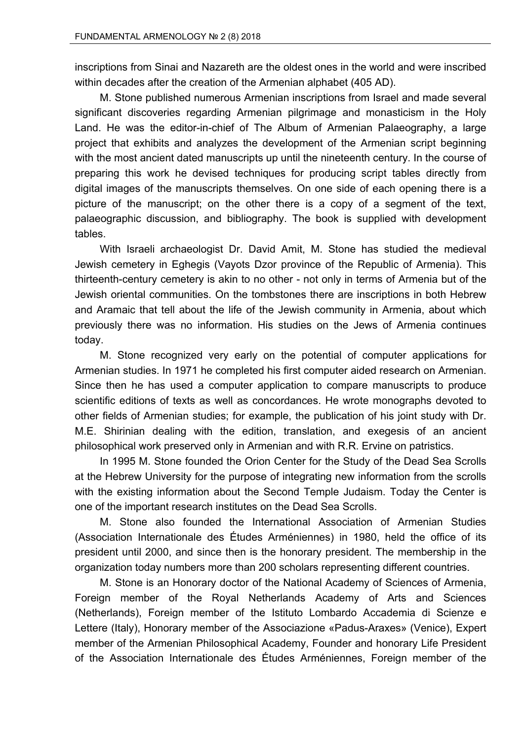inscriptions from Sinai and Nazareth are the oldest ones in the world and were inscribed within decades after the creation of the Armenian alphabet (405 AD).

M. Stone published numerous Armenian inscriptions from Israel and made several significant discoveries regarding Armenian pilgrimage and monasticism in the Holy Land. He was the editor-in-chief of The Album of Armenian Palaeography, a large project that exhibits and analyzes the development of the Armenian script beginning with the most ancient dated manuscripts up until the nineteenth century. In the course of preparing this work he devised techniques for producing script tables directly from digital images of the manuscripts themselves. On one side of each opening there is a picture of the manuscript; on the other there is a copy of a segment of the text, palaeographic discussion, and bibliography. The book is supplied with development tables.

With Israeli archaeologist Dr. David Amit, M. Stone has studied the medieval Jewish cemetery in Eghegis (Vayots Dzor province of the Republic of Armenia). This thirteenth-century cemetery is akin to no other - not only in terms of Armenia but of the Jewish oriental communities. On the tombstones there are inscriptions in both Hebrew and Aramaic that tell about the life of the Jewish community in Armenia, about which previously there was no information. His studies on the Jews of Armenia continues today.

M. Stone recognized very early on the potential of computer applications for Armenian studies. In 1971 he completed his first computer aided research on Armenian. Since then he has used a computer application to compare manuscripts to produce scientific editions of texts as well as concordances. He wrote monographs devoted to other fields of Armenian studies; for example, the publication of his joint study with Dr. M.E. Shirinian dealing with the edition, translation, and exegesis of an ancient philosophical work preserved only in Armenian and with R.R. Ervine on patristics.

In 1995 M. Stone founded the Orion Center for the Study of the Dead Sea Scrolls at the Hebrew University for the purpose of integrating new information from the scrolls with the existing information about the Second Temple Judaism. Today the Center is one of the important research institutes on the Dead Sea Scrolls.

M. Stone also founded the International Association of Armenian Studies (Association Internationale des Études Arméniennes) in 1980, held the office of its president until 2000, and since then is the honorary president. The membership in the organization today numbers more than 200 scholars representing different countries.

M. Stone is an Honorary doctor of the National Academy of Sciences of Armenia, Foreign member of the Royal Netherlands Academy of Arts and Sciences (Netherlands), Foreign member of the Istituto Lombardo Accademia di Scienze e Lettere (Italy), Honorary member of the Associazione «Padus-Araxes» (Venice), Expert member of the Armenian Philosophical Academy, Founder and honorary Life President of the Association Internationale des Études Arméniennes, Foreign member of the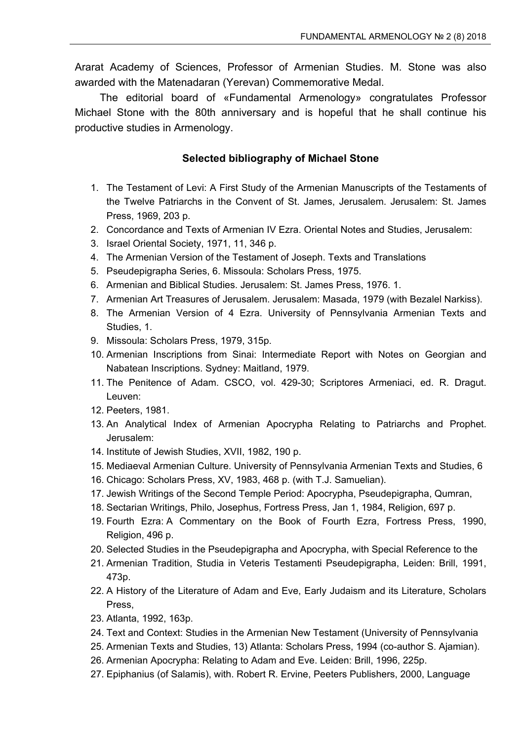Ararat Academy of Sciences, Professor of Armenian Studies. M. Stone was also awarded with the Matenadaran (Yerevan) Commemorative Medal.

The editorial board of «Fundamental Armenology» congratulates Professor Michael Stone with the 80th anniversary and is hopeful that he shall continue his productive studies in Armenology.

## **Selected bibliography of Michael Stone**

- 1. The Testament of Levi: A First Study of the Armenian Manuscripts of the Testaments of the Twelve Patriarchs in the Convent of St. James, Jerusalem. Jerusalem: St. James Press, 1969, 203 p.
- 2. Concordance and Texts of Armenian IV Ezra. Oriental Notes and Studies, Jerusalem:
- 3. Israel Oriental Society, 1971, 11, 346 p.
- 4. The Armenian Version of the Testament of Joseph. Texts and Translations
- 5. Pseudepigrapha Series, 6. Missoula: Scholars Press, 1975.
- 6. Armenian and Biblical Studies. Jerusalem: St. James Press, 1976. 1.
- 7. Armenian Art Treasures of Jerusalem. Jerusalem: Masada, 1979 (with Bezalel Narkiss).
- 8. The Armenian Version of 4 Ezra. University of Pennsylvania Armenian Texts and Studies, 1.
- 9. Missoula: Scholars Press, 1979, 315p.
- 10. Armenian Inscriptions from Sinai: Intermediate Report with Notes on Georgian and Nabatean Inscriptions. Sydney: Maitland, 1979.
- 11. The Penitence of Adam. CSCO, vol. 429-30; Scriptores Armeniaci, ed. R. Dragut. Leuven:
- 12. Peeters, 1981.
- 13. An Analytical Index of Armenian Apocrypha Relating to Patriarchs and Prophet. Jerusalem:
- 14. Institute of Jewish Studies, XVII, 1982, 190 p.
- 15. Mediaeval Armenian Culture. University of Pennsylvania Armenian Texts and Studies, 6
- 16. Chicago: Scholars Press, XV, 1983, 468 p. (with T.J. Samuelian).
- 17. Jewish Writings of the Second Temple Period: Apocrypha, Pseudepigrapha, Qumran,
- 18. Sectarian Writings, Philo, Josephus, Fortress Press, Jan 1, 1984, Religion, 697 p.
- 19. Fourth Ezra: A Commentary on the Book of Fourth Ezra, Fortress Press, 1990, Religion, 496 p.
- 20. Selected Studies in the Pseudepigrapha and Apocrypha, with Special Reference to the
- 21. Armenian Tradition, Studia in Veteris Testamenti Pseudepigrapha, Leiden: Brill, 1991, 473p.
- 22. A History of the Literature of Adam and Eve, Early Judaism and its Literature, Scholars Press,
- 23. Atlanta, 1992, 163p.
- 24. Text and Context: Studies in the Armenian New Testament (University of Pennsylvania
- 25. Armenian Texts and Studies, 13) Atlanta: Scholars Press, 1994 (co-author S. Ajamian).
- 26. Armenian Apocrypha: Relating to Adam and Eve. Leiden: Brill, 1996, 225p.
- 27. Epiphanius (of Salamis), with. Robert R. Ervine, Peeters Publishers, 2000, Language